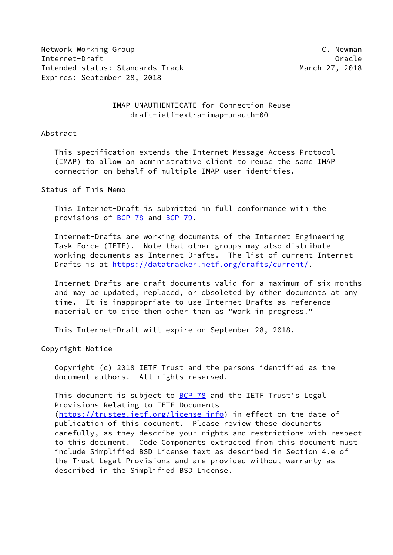Network Working Group **C. Newman** Internet-Draft Oracle Intended status: Standards Track March 27, 2018 Expires: September 28, 2018

# IMAP UNAUTHENTICATE for Connection Reuse draft-ietf-extra-imap-unauth-00

#### Abstract

 This specification extends the Internet Message Access Protocol (IMAP) to allow an administrative client to reuse the same IMAP connection on behalf of multiple IMAP user identities.

## Status of This Memo

 This Internet-Draft is submitted in full conformance with the provisions of [BCP 78](https://datatracker.ietf.org/doc/pdf/bcp78) and [BCP 79](https://datatracker.ietf.org/doc/pdf/bcp79).

 Internet-Drafts are working documents of the Internet Engineering Task Force (IETF). Note that other groups may also distribute working documents as Internet-Drafts. The list of current Internet Drafts is at<https://datatracker.ietf.org/drafts/current/>.

 Internet-Drafts are draft documents valid for a maximum of six months and may be updated, replaced, or obsoleted by other documents at any time. It is inappropriate to use Internet-Drafts as reference material or to cite them other than as "work in progress."

This Internet-Draft will expire on September 28, 2018.

Copyright Notice

 Copyright (c) 2018 IETF Trust and the persons identified as the document authors. All rights reserved.

This document is subject to **[BCP 78](https://datatracker.ietf.org/doc/pdf/bcp78)** and the IETF Trust's Legal Provisions Relating to IETF Documents [\(https://trustee.ietf.org/license-info](https://trustee.ietf.org/license-info)) in effect on the date of publication of this document. Please review these documents carefully, as they describe your rights and restrictions with respect to this document. Code Components extracted from this document must include Simplified BSD License text as described in Section 4.e of the Trust Legal Provisions and are provided without warranty as described in the Simplified BSD License.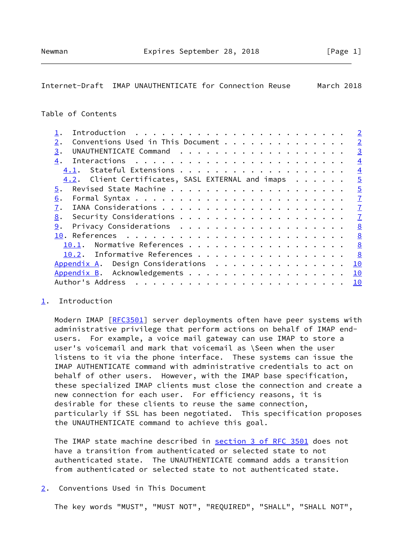# <span id="page-1-1"></span>Internet-Draft IMAP UNAUTHENTICATE for Connection Reuse March 2018

# Table of Contents

|                                                   | $\overline{2}$ |
|---------------------------------------------------|----------------|
| Conventions Used in This Document<br>2.           | $\overline{2}$ |
| 3.                                                | $\overline{3}$ |
| 4.                                                | $\overline{4}$ |
|                                                   | $\overline{4}$ |
| 4.2. Client Certificates, SASL EXTERNAL and imaps | $\overline{5}$ |
| 5.                                                | $\overline{5}$ |
| 6.                                                | $\overline{1}$ |
| 7.                                                | $\overline{1}$ |
| 8.                                                | $\overline{1}$ |
| 9.                                                | 8              |
|                                                   | 8              |
| Normative References<br>10.1.                     | 8              |
| 10.2. Informative References                      | 8              |
| Appendix A. Design Considerations                 | 10             |
| Appendix B. Acknowledgements                      | 10             |
| Author's Address                                  | 10             |
|                                                   |                |

#### <span id="page-1-0"></span>[1](#page-1-0). Introduction

Modern IMAP [\[RFC3501](https://datatracker.ietf.org/doc/pdf/rfc3501)] server deployments often have peer systems with administrative privilege that perform actions on behalf of IMAP end users. For example, a voice mail gateway can use IMAP to store a user's voicemail and mark that voicemail as \Seen when the user listens to it via the phone interface. These systems can issue the IMAP AUTHENTICATE command with administrative credentials to act on behalf of other users. However, with the IMAP base specification, these specialized IMAP clients must close the connection and create a new connection for each user. For efficiency reasons, it is desirable for these clients to reuse the same connection, particularly if SSL has been negotiated. This specification proposes the UNAUTHENTICATE command to achieve this goal.

 The IMAP state machine described in section [3 of RFC 3501](https://datatracker.ietf.org/doc/pdf/rfc3501#section-3) does not have a transition from authenticated or selected state to not authenticated state. The UNAUTHENTICATE command adds a transition from authenticated or selected state to not authenticated state.

# <span id="page-1-2"></span>[2](#page-1-2). Conventions Used in This Document

The key words "MUST", "MUST NOT", "REQUIRED", "SHALL", "SHALL NOT",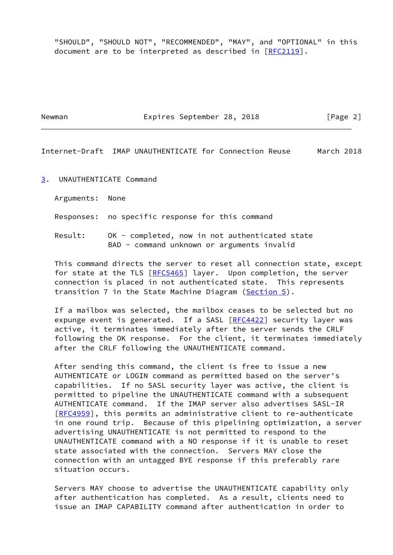"SHOULD", "SHOULD NOT", "RECOMMENDED", "MAY", and "OPTIONAL" in this document are to be interpreted as described in [\[RFC2119](https://datatracker.ietf.org/doc/pdf/rfc2119)].

Newman **Expires September 28, 2018** [Page 2]

<span id="page-2-1"></span>Internet-Draft IMAP UNAUTHENTICATE for Connection Reuse March 2018

<span id="page-2-0"></span>[3](#page-2-0). UNAUTHENTICATE Command

Arguments: None

Responses: no specific response for this command

 Result: OK - completed, now in not authenticated state BAD - command unknown or arguments invalid

 This command directs the server to reset all connection state, except for state at the TLS [\[RFC5465](https://datatracker.ietf.org/doc/pdf/rfc5465)] layer. Upon completion, the server connection is placed in not authenticated state. This represents transition 7 in the State Machine Diagram ([Section 5\)](#page-5-0).

 If a mailbox was selected, the mailbox ceases to be selected but no expunge event is generated. If a SASL [\[RFC4422](https://datatracker.ietf.org/doc/pdf/rfc4422)] security layer was active, it terminates immediately after the server sends the CRLF following the OK response. For the client, it terminates immediately after the CRLF following the UNAUTHENTICATE command.

 After sending this command, the client is free to issue a new AUTHENTICATE or LOGIN command as permitted based on the server's capabilities. If no SASL security layer was active, the client is permitted to pipeline the UNAUTHENTICATE command with a subsequent AUTHENTICATE command. If the IMAP server also advertises SASL-IR [\[RFC4959](https://datatracker.ietf.org/doc/pdf/rfc4959)], this permits an administrative client to re-authenticate in one round trip. Because of this pipelining optimization, a server advertising UNAUTHENTICATE is not permitted to respond to the UNAUTHENTICATE command with a NO response if it is unable to reset state associated with the connection. Servers MAY close the connection with an untagged BYE response if this preferably rare situation occurs.

 Servers MAY choose to advertise the UNAUTHENTICATE capability only after authentication has completed. As a result, clients need to issue an IMAP CAPABILITY command after authentication in order to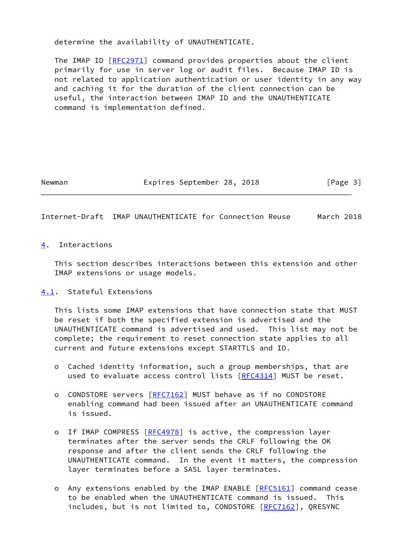determine the availability of UNAUTHENTICATE.

 The IMAP ID [\[RFC2971](https://datatracker.ietf.org/doc/pdf/rfc2971)] command provides properties about the client primarily for use in server log or audit files. Because IMAP ID is not related to application authentication or user identity in any way and caching it for the duration of the client connection can be useful, the interaction between IMAP ID and the UNAUTHENTICATE command is implementation defined.

Newman **Expires September 28, 2018** [Page 3]

## <span id="page-3-1"></span>Internet-Draft IMAP UNAUTHENTICATE for Connection Reuse March 2018

### <span id="page-3-0"></span>[4](#page-3-0). Interactions

 This section describes interactions between this extension and other IMAP extensions or usage models.

### <span id="page-3-2"></span>[4.1](#page-3-2). Stateful Extensions

 This lists some IMAP extensions that have connection state that MUST be reset if both the specified extension is advertised and the UNAUTHENTICATE command is advertised and used. This list may not be complete; the requirement to reset connection state applies to all current and future extensions except STARTTLS and ID.

- o Cached identity information, such a group memberships, that are used to evaluate access control lists [\[RFC4314](https://datatracker.ietf.org/doc/pdf/rfc4314)] MUST be reset.
- o CONDSTORE servers [\[RFC7162](https://datatracker.ietf.org/doc/pdf/rfc7162)] MUST behave as if no CONDSTORE enabling command had been issued after an UNAUTHENTICATE command is issued.
- o If IMAP COMPRESS [\[RFC4978](https://datatracker.ietf.org/doc/pdf/rfc4978)] is active, the compression layer terminates after the server sends the CRLF following the OK response and after the client sends the CRLF following the UNAUTHENTICATE command. In the event it matters, the compression layer terminates before a SASL layer terminates.
- o Any extensions enabled by the IMAP ENABLE [\[RFC5161](https://datatracker.ietf.org/doc/pdf/rfc5161)] command cease to be enabled when the UNAUTHENTICATE command is issued. This includes, but is not limited to, CONDSTORE [[RFC7162](https://datatracker.ietf.org/doc/pdf/rfc7162)], QRESYNC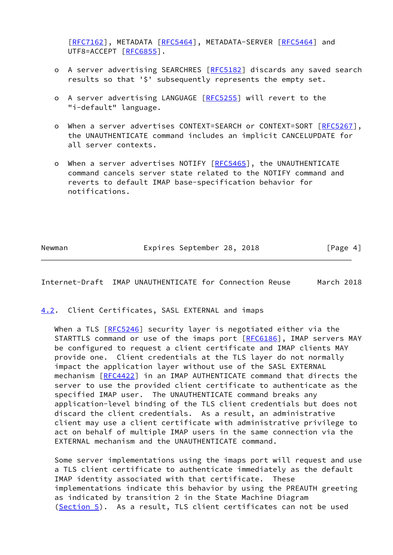[[RFC7162\]](https://datatracker.ietf.org/doc/pdf/rfc7162), METADATA [\[RFC5464](https://datatracker.ietf.org/doc/pdf/rfc5464)], METADATA-SERVER [[RFC5464](https://datatracker.ietf.org/doc/pdf/rfc5464)] and UTF8=ACCEPT [\[RFC6855](https://datatracker.ietf.org/doc/pdf/rfc6855)].

- o A server advertising SEARCHRES [[RFC5182](https://datatracker.ietf.org/doc/pdf/rfc5182)] discards any saved search results so that '\$' subsequently represents the empty set.
- o A server advertising LANGUAGE [\[RFC5255](https://datatracker.ietf.org/doc/pdf/rfc5255)] will revert to the "i-default" language.
- o When a server advertises CONTEXT=SEARCH or CONTEXT=SORT [[RFC5267\]](https://datatracker.ietf.org/doc/pdf/rfc5267), the UNAUTHENTICATE command includes an implicit CANCELUPDATE for all server contexts.
- o When a server advertises NOTIFY [[RFC5465\]](https://datatracker.ietf.org/doc/pdf/rfc5465), the UNAUTHENTICATE command cancels server state related to the NOTIFY command and reverts to default IMAP base-specification behavior for notifications.

Newman **Expires September 28, 2018** [Page 4]

<span id="page-4-1"></span>Internet-Draft IMAP UNAUTHENTICATE for Connection Reuse March 2018

#### <span id="page-4-0"></span>[4.2](#page-4-0). Client Certificates, SASL EXTERNAL and imaps

When a TLS [[RFC5246\]](https://datatracker.ietf.org/doc/pdf/rfc5246) security layer is negotiated either via the STARTTLS command or use of the imaps port [[RFC6186](https://datatracker.ietf.org/doc/pdf/rfc6186)], IMAP servers MAY be configured to request a client certificate and IMAP clients MAY provide one. Client credentials at the TLS layer do not normally impact the application layer without use of the SASL EXTERNAL mechanism [[RFC4422](https://datatracker.ietf.org/doc/pdf/rfc4422)] in an IMAP AUTHENTICATE command that directs the server to use the provided client certificate to authenticate as the specified IMAP user. The UNAUTHENTICATE command breaks any application-level binding of the TLS client credentials but does not discard the client credentials. As a result, an administrative client may use a client certificate with administrative privilege to act on behalf of multiple IMAP users in the same connection via the EXTERNAL mechanism and the UNAUTHENTICATE command.

 Some server implementations using the imaps port will request and use a TLS client certificate to authenticate immediately as the default IMAP identity associated with that certificate. These implementations indicate this behavior by using the PREAUTH greeting as indicated by transition 2 in the State Machine Diagram [\(Section 5](#page-5-0)). As a result, TLS client certificates can not be used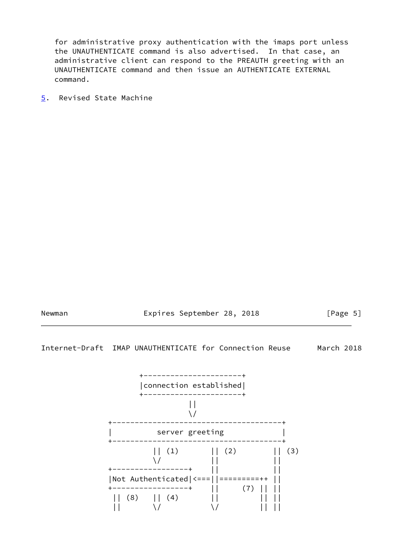for administrative proxy authentication with the imaps port unless the UNAUTHENTICATE command is also advertised. In that case, an administrative client can respond to the PREAUTH greeting with an UNAUTHENTICATE command and then issue an AUTHENTICATE EXTERNAL command.

<span id="page-5-0"></span>[5](#page-5-0). Revised State Machine

Newman **Expires September 28, 2018** [Page 5]

Internet-Draft IMAP UNAUTHENTICATE for Connection Reuse March 2018

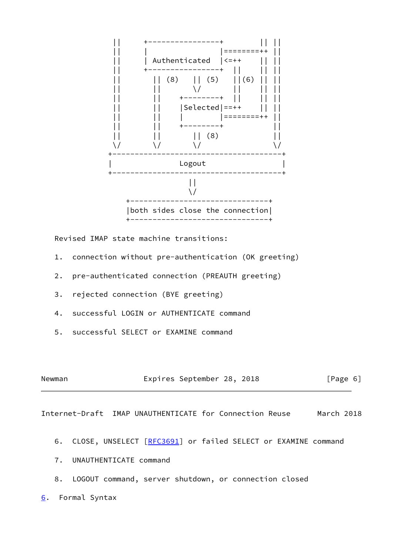

Revised IMAP state machine transitions:

- 1. connection without pre-authentication (OK greeting)
- 2. pre-authenticated connection (PREAUTH greeting)
- 3. rejected connection (BYE greeting)
- 4. successful LOGIN or AUTHENTICATE command
- 5. successful SELECT or EXAMINE command

| Newman |  | Expires September 28, 2018 |  |  | [Page 6] |  |  |
|--------|--|----------------------------|--|--|----------|--|--|
|--------|--|----------------------------|--|--|----------|--|--|

<span id="page-6-1"></span>Internet-Draft IMAP UNAUTHENTICATE for Connection Reuse March 2018

- 6. CLOSE, UNSELECT [\[RFC3691](https://datatracker.ietf.org/doc/pdf/rfc3691)] or failed SELECT or EXAMINE command
- 7. UNAUTHENTICATE command
- 8. LOGOUT command, server shutdown, or connection closed
- <span id="page-6-0"></span>[6](#page-6-0). Formal Syntax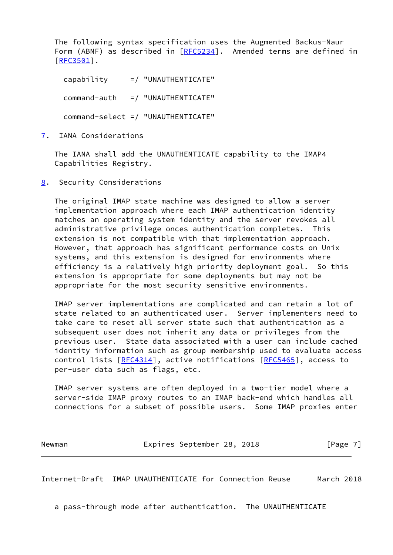The following syntax specification uses the Augmented Backus-Naur Form (ABNF) as described in [\[RFC5234](https://datatracker.ietf.org/doc/pdf/rfc5234)]. Amended terms are defined in [\[RFC3501](https://datatracker.ietf.org/doc/pdf/rfc3501)].

 capability =/ "UNAUTHENTICATE"  $command = \text{author}$  =/ "UNAUTHENTICATE" command-select =/ "UNAUTHENTICATE"

<span id="page-7-0"></span>[7](#page-7-0). IANA Considerations

 The IANA shall add the UNAUTHENTICATE capability to the IMAP4 Capabilities Registry.

<span id="page-7-1"></span>[8](#page-7-1). Security Considerations

 The original IMAP state machine was designed to allow a server implementation approach where each IMAP authentication identity matches an operating system identity and the server revokes all administrative privilege onces authentication completes. This extension is not compatible with that implementation approach. However, that approach has significant performance costs on Unix systems, and this extension is designed for environments where efficiency is a relatively high priority deployment goal. So this extension is appropriate for some deployments but may not be appropriate for the most security sensitive environments.

 IMAP server implementations are complicated and can retain a lot of state related to an authenticated user. Server implementers need to take care to reset all server state such that authentication as a subsequent user does not inherit any data or privileges from the previous user. State data associated with a user can include cached identity information such as group membership used to evaluate access control lists [[RFC4314](https://datatracker.ietf.org/doc/pdf/rfc4314)], active notifications [[RFC5465](https://datatracker.ietf.org/doc/pdf/rfc5465)], access to per-user data such as flags, etc.

 IMAP server systems are often deployed in a two-tier model where a server-side IMAP proxy routes to an IMAP back-end which handles all connections for a subset of possible users. Some IMAP proxies enter

Newman **Expires September 28, 2018** [Page 7]

<span id="page-7-2"></span>Internet-Draft IMAP UNAUTHENTICATE for Connection Reuse March 2018

a pass-through mode after authentication. The UNAUTHENTICATE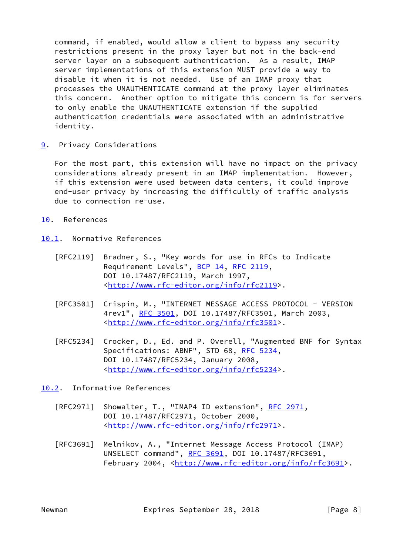command, if enabled, would allow a client to bypass any security restrictions present in the proxy layer but not in the back-end server layer on a subsequent authentication. As a result, IMAP server implementations of this extension MUST provide a way to disable it when it is not needed. Use of an IMAP proxy that processes the UNAUTHENTICATE command at the proxy layer eliminates this concern. Another option to mitigate this concern is for servers to only enable the UNAUTHENTICATE extension if the supplied authentication credentials were associated with an administrative identity.

<span id="page-8-0"></span>[9](#page-8-0). Privacy Considerations

 For the most part, this extension will have no impact on the privacy considerations already present in an IMAP implementation. However, if this extension were used between data centers, it could improve end-user privacy by increasing the difficultly of traffic analysis due to connection re-use.

- <span id="page-8-1"></span>[10.](#page-8-1) References
- <span id="page-8-2"></span>[10.1](#page-8-2). Normative References
	- [RFC2119] Bradner, S., "Key words for use in RFCs to Indicate Requirement Levels", [BCP 14](https://datatracker.ietf.org/doc/pdf/bcp14), [RFC 2119](https://datatracker.ietf.org/doc/pdf/rfc2119), DOI 10.17487/RFC2119, March 1997, <<http://www.rfc-editor.org/info/rfc2119>>.
	- [RFC3501] Crispin, M., "INTERNET MESSAGE ACCESS PROTOCOL VERSION 4rev1", [RFC 3501,](https://datatracker.ietf.org/doc/pdf/rfc3501) DOI 10.17487/RFC3501, March 2003, <<http://www.rfc-editor.org/info/rfc3501>>.
	- [RFC5234] Crocker, D., Ed. and P. Overell, "Augmented BNF for Syntax Specifications: ABNF", STD 68, [RFC 5234](https://datatracker.ietf.org/doc/pdf/rfc5234), DOI 10.17487/RFC5234, January 2008, <<http://www.rfc-editor.org/info/rfc5234>>.
- <span id="page-8-3"></span>[10.2](#page-8-3). Informative References
	- [RFC2971] Showalter, T., "IMAP4 ID extension", [RFC 2971](https://datatracker.ietf.org/doc/pdf/rfc2971), DOI 10.17487/RFC2971, October 2000, <<http://www.rfc-editor.org/info/rfc2971>>.
	- [RFC3691] Melnikov, A., "Internet Message Access Protocol (IMAP) UNSELECT command", [RFC 3691](https://datatracker.ietf.org/doc/pdf/rfc3691), DOI 10.17487/RFC3691, February 2004, <<http://www.rfc-editor.org/info/rfc3691>>.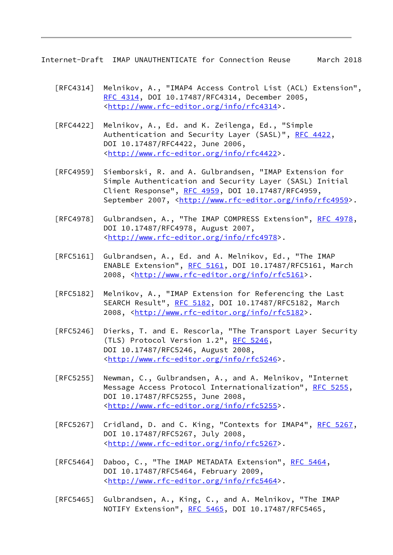Internet-Draft IMAP UNAUTHENTICATE for Connection Reuse March 2018

- [RFC4314] Melnikov, A., "IMAP4 Access Control List (ACL) Extension", [RFC 4314,](https://datatracker.ietf.org/doc/pdf/rfc4314) DOI 10.17487/RFC4314, December 2005, <<http://www.rfc-editor.org/info/rfc4314>>.
- [RFC4422] Melnikov, A., Ed. and K. Zeilenga, Ed., "Simple Authentication and Security Layer (SASL)", [RFC 4422](https://datatracker.ietf.org/doc/pdf/rfc4422), DOI 10.17487/RFC4422, June 2006, <<http://www.rfc-editor.org/info/rfc4422>>.
- [RFC4959] Siemborski, R. and A. Gulbrandsen, "IMAP Extension for Simple Authentication and Security Layer (SASL) Initial Client Response", [RFC 4959](https://datatracker.ietf.org/doc/pdf/rfc4959), DOI 10.17487/RFC4959, September 2007, <<http://www.rfc-editor.org/info/rfc4959>>.
- [RFC4978] Gulbrandsen, A., "The IMAP COMPRESS Extension", [RFC 4978,](https://datatracker.ietf.org/doc/pdf/rfc4978) DOI 10.17487/RFC4978, August 2007, <<http://www.rfc-editor.org/info/rfc4978>>.
- [RFC5161] Gulbrandsen, A., Ed. and A. Melnikov, Ed., "The IMAP ENABLE Extension", [RFC 5161](https://datatracker.ietf.org/doc/pdf/rfc5161), DOI 10.17487/RFC5161, March 2008, [<http://www.rfc-editor.org/info/rfc5161](http://www.rfc-editor.org/info/rfc5161)>.
- [RFC5182] Melnikov, A., "IMAP Extension for Referencing the Last SEARCH Result", [RFC 5182,](https://datatracker.ietf.org/doc/pdf/rfc5182) DOI 10.17487/RFC5182, March 2008, [<http://www.rfc-editor.org/info/rfc5182](http://www.rfc-editor.org/info/rfc5182)>.
- [RFC5246] Dierks, T. and E. Rescorla, "The Transport Layer Security (TLS) Protocol Version 1.2", [RFC 5246](https://datatracker.ietf.org/doc/pdf/rfc5246), DOI 10.17487/RFC5246, August 2008, <<http://www.rfc-editor.org/info/rfc5246>>.
- [RFC5255] Newman, C., Gulbrandsen, A., and A. Melnikov, "Internet Message Access Protocol Internationalization", [RFC 5255](https://datatracker.ietf.org/doc/pdf/rfc5255), DOI 10.17487/RFC5255, June 2008, <<http://www.rfc-editor.org/info/rfc5255>>.
- [RFC5267] Cridland, D. and C. King, "Contexts for IMAP4", [RFC 5267,](https://datatracker.ietf.org/doc/pdf/rfc5267) DOI 10.17487/RFC5267, July 2008, <<http://www.rfc-editor.org/info/rfc5267>>.
- [RFC5464] Daboo, C., "The IMAP METADATA Extension", [RFC 5464](https://datatracker.ietf.org/doc/pdf/rfc5464), DOI 10.17487/RFC5464, February 2009, <<http://www.rfc-editor.org/info/rfc5464>>.
- [RFC5465] Gulbrandsen, A., King, C., and A. Melnikov, "The IMAP NOTIFY Extension", [RFC 5465](https://datatracker.ietf.org/doc/pdf/rfc5465), DOI 10.17487/RFC5465,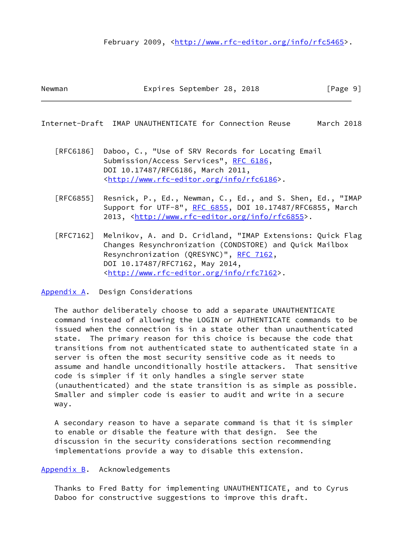### February 2009, <<http://www.rfc-editor.org/info/rfc5465>>.

<span id="page-10-1"></span>Internet-Draft IMAP UNAUTHENTICATE for Connection Reuse March 2018

- [RFC6186] Daboo, C., "Use of SRV Records for Locating Email Submission/Access Services", [RFC 6186](https://datatracker.ietf.org/doc/pdf/rfc6186), DOI 10.17487/RFC6186, March 2011, <<http://www.rfc-editor.org/info/rfc6186>>.
- [RFC6855] Resnick, P., Ed., Newman, C., Ed., and S. Shen, Ed., "IMAP Support for UTF-8", [RFC 6855,](https://datatracker.ietf.org/doc/pdf/rfc6855) DOI 10.17487/RFC6855, March 2013, [<http://www.rfc-editor.org/info/rfc6855](http://www.rfc-editor.org/info/rfc6855)>.
- [RFC7162] Melnikov, A. and D. Cridland, "IMAP Extensions: Quick Flag Changes Resynchronization (CONDSTORE) and Quick Mailbox Resynchronization (QRESYNC)", [RFC 7162](https://datatracker.ietf.org/doc/pdf/rfc7162), DOI 10.17487/RFC7162, May 2014, <<http://www.rfc-editor.org/info/rfc7162>>.

<span id="page-10-0"></span>[Appendix A.](#page-10-0) Design Considerations

 The author deliberately choose to add a separate UNAUTHENTICATE command instead of allowing the LOGIN or AUTHENTICATE commands to be issued when the connection is in a state other than unauthenticated state. The primary reason for this choice is because the code that transitions from not authenticated state to authenticated state in a server is often the most security sensitive code as it needs to assume and handle unconditionally hostile attackers. That sensitive code is simpler if it only handles a single server state (unauthenticated) and the state transition is as simple as possible. Smaller and simpler code is easier to audit and write in a secure way.

 A secondary reason to have a separate command is that it is simpler to enable or disable the feature with that design. See the discussion in the security considerations section recommending implementations provide a way to disable this extension.

#### <span id="page-10-2"></span>[Appendix B.](#page-10-2) Acknowledgements

 Thanks to Fred Batty for implementing UNAUTHENTICATE, and to Cyrus Daboo for constructive suggestions to improve this draft.